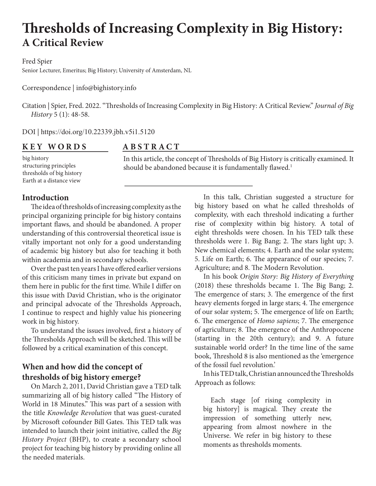# <span id="page-0-0"></span>**Thresholds of Increasing Complexity in Big History: A Critical Review**

Fred Spier

Senior Lecturer, Emeritus; Big History; University of Amsterdam, NL

Correspondence | info@bighistory.info

Citation | Spier, Fred. 2022. "Thresholds of Increasing Complexity in Big History: A Critical Review." *Journal of Big History* 5 (1): 48-58.

DOI | https://doi.org/10.22339.jbh.v5i1.5120

#### **KEY WORDS ABSTRACT**

In this article, the concept of Thresholds of Big History is critically examined. It should be abandoned because it is fundamentally flawed.<sup>[1](#page-8-0)</sup>

big history structuring principles thresholds of big history Earth at a distance view

#### **Introduction**

The idea of thresholds of increasing complexity as the principal organizing principle for big history contains important flaws, and should be abandoned. A proper understanding of this controversial theoretical issue is vitally important not only for a good understanding of academic big history but also for teaching it both within academia and in secondary schools.

Over the past ten years I have offered earlier versions of this criticism many times in private but expand on them here in public for the first time. While I differ on this issue with David Christian, who is the originator and principal advocate of the Thresholds Approach, I continue to respect and highly value his pioneering work in big history.

To understand the issues involved, first a history of the Thresholds Approach will be sketched. This will be followed by a critical examination of this concept.

### **When and how did the concept of thresholds of big history emerge?**

On March 2, 2011, David Christian gave a TED talk summarizing all of big history called "The History of World in 18 Minutes." This was part of a session with the title *Knowledge Revolution* that was guest-curated by Microsoft cofounder Bill Gates. This TED talk was intended to launch their joint initiative, called the *Big History Project* (BHP), to create a secondary school project for teaching big history by providing online all the needed materials.

In this talk, Christian suggested a structure for big history based on what he called thresholds of complexity, with each threshold indicating a further rise of complexity within big history. A total of eight thresholds were chosen. In his TED talk these thresholds were 1. Big Bang; 2. The stars light up; 3. New chemical elements; 4. Earth and the solar system; 5. Life on Earth; 6. The appearance of our species; 7. Agriculture; and 8. The Modern Revolution.

In his book *Origin Story: Big History of Everything* (2018) these thresholds became 1. The Big Bang; 2. The emergence of stars; 3. The emergence of the first heavy elements forged in large stars; 4. The emergence of our solar system; 5. The emergence of life on Earth; 6. The emergence of *Homo sapiens*; 7. The emergence of agriculture; 8. The emergence of the Anthropocene (starting in the 20th century); and 9. A future sustainable world order? In the time line of the same book, Threshold 8 is also mentioned as the 'emergence of the fossil fuel revolution.'

In his TED talk, Christian announced the Thresholds Approach as follows:

Each stage [of rising complexity in big history] is magical. They create the impression of something utterly new, appearing from almost nowhere in the Universe. We refer in big history to these moments as thresholds moments.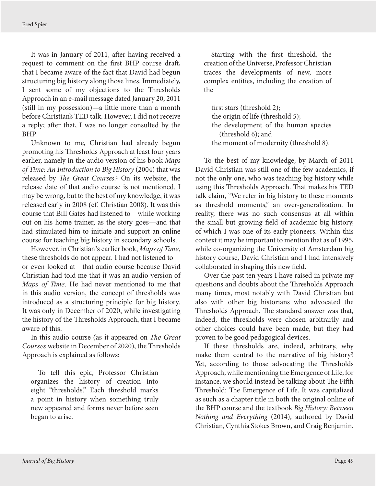<span id="page-1-0"></span>It was in January of 2011, after having received a request to comment on the first BHP course draft, that I became aware of the fact that David had begun structuring big history along those lines. Immediately, I sent some of my objections to the Thresholds Approach in an e-mail message dated January 20, 2011 (still in my possession)—a little more than a month before Christian's TED talk. However, I did not receive a reply; after that, I was no longer consulted by the BHP.

Unknown to me, Christian had already begun promoting his Thresholds Approach at least four years earlier, namely in the audio version of his book *Maps of Time: An Introduction to Big History* (2004) that was released by *The Great Courses*. [2](#page-8-0) On its website, the release date of that audio course is not mentioned. I may be wrong, but to the best of my knowledge, it was released early in 2008 (cf. Christian 2008). It was this course that Bill Gates had listened to—while working out on his home trainer, as the story goes—and that had stimulated him to initiate and support an online course for teaching big history in secondary schools.

However, in Christian's earlier book, *Maps of Time*, these thresholds do not appear. I had not listened to or even looked at—that audio course because David Christian had told me that it was an audio version of *Maps of Time*. He had never mentioned to me that in this audio version, the concept of thresholds was introduced as a structuring principle for big history. It was only in December of 2020, while investigating the history of the Thresholds Approach, that I became aware of this.

In this audio course (as it appeared on *The Great Courses* website in December of 2020), the Thresholds Approach is explained as follows:

To tell this epic, Professor Christian organizes the history of creation into eight "thresholds." Each threshold marks a point in history when something truly new appeared and forms never before seen began to arise.

Starting with the first threshold, the creation of the Universe, Professor Christian traces the developments of new, more complex entities, including the creation of the

first stars (threshold 2); the origin of life (threshold 5); the development of the human species (threshold 6); and the moment of modernity (threshold 8).

To the best of my knowledge, by March of 2011 David Christian was still one of the few academics, if not the only one, who was teaching big history while using this Thresholds Approach. That makes his TED talk claim, "We refer in big history to these moments as threshold moments," an over-generalization. In reality, there was no such consensus at all within the small but growing field of academic big history, of which I was one of its early pioneers. Within this context it may be important to mention that as of 1995, while co-organizing the University of Amsterdam big history course, David Christian and I had intensively collaborated in shaping this new field.

Over the past ten years I have raised in private my questions and doubts about the Thresholds Approach many times, most notably with David Christian but also with other big historians who advocated the Thresholds Approach. The standard answer was that, indeed, the thresholds were chosen arbitrarily and other choices could have been made, but they had proven to be good pedagogical devices.

If these thresholds are, indeed, arbitrary, why make them central to the narrative of big history? Yet, according to those advocating the Thresholds Approach, while mentioning the Emergence of Life, for instance, we should instead be talking about The Fifth Threshold: The Emergence of Life. It was capitalized as such as a chapter title in both the original online of the BHP course and the textbook *Big History: Between Nothing and Everything* (2014), authored by David Christian, Cynthia Stokes Brown, and Craig Benjamin.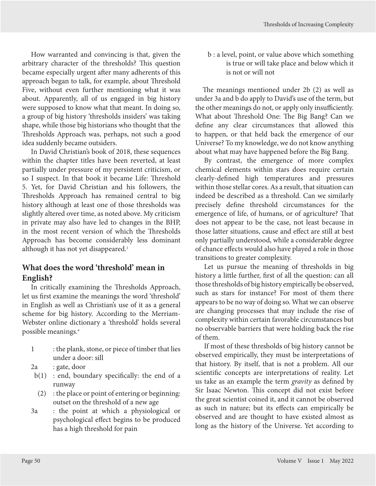<span id="page-2-0"></span>How warranted and convincing is that, given the arbitrary character of the thresholds? This question became especially urgent after many adherents of this approach began to talk, for example, about Threshold Five, without even further mentioning what it was about. Apparently, all of us engaged in big history were supposed to know what that meant. In doing so, a group of big history 'thresholds insiders' was taking shape, while those big historians who thought that the Thresholds Approach was, perhaps, not such a good idea suddenly became outsiders.

In David Christian's book of 2018, these sequences within the chapter titles have been reverted, at least partially under pressure of my persistent criticism, or so I suspect. In that book it became Life: Threshold 5. Yet, for David Christian and his followers, the Thresholds Approach has remained central to big history although at least one of those thresholds was slightly altered over time, as noted above. My criticism in private may also have led to changes in the BHP, in the most recent version of which the Thresholds Approach has become considerably less dominant although it has not yet disappeared.<sup>[3](#page-8-0)</sup>

# **What does the word 'threshold' mean in English?**

In critically examining the Thresholds Approach, let us first examine the meanings the word 'threshold' in English as well as Christian's use of it as a general scheme for big history. According to the Merriam-Webster online dictionary a 'threshold' holds several possible meanings.[4](#page-8-0)

- 1 : the plank, stone, or piece of timber that lies under a door: sill
- 2a : gate, door
- $b(1)$ : end, boundary specifically: the end of a runway
- (2) : the place or point of entering or beginning: outset on the threshold of a new age
- 3a : the point at which a physiological or psychological effect begins to be produced has a high threshold for pain

 b : a level, point, or value above which something is true or will take place and below which it is not or will not

The meanings mentioned under 2b (2) as well as under 3a and b do apply to David's use of the term, but the other meanings do not, or apply only insufficiently. What about Threshold One: The Big Bang? Can we define any clear circumstances that allowed this to happen, or that held back the emergence of our Universe? To my knowledge, we do not know anything about what may have happened before the Big Bang.

By contrast, the emergence of more complex chemical elements within stars does require certain clearly-defined high temperatures and pressures within those stellar cores. As a result, that situation can indeed be described as a threshold. Can we similarly precisely define threshold circumstances for the emergence of life, of humans, or of agriculture? That does not appear to be the case, not least because in those latter situations, cause and effect are still at best only partially understood, while a considerable degree of chance effects would also have played a role in those transitions to greater complexity.

Let us pursue the meaning of thresholds in big history a little further, first of all the question: can all those thresholds of big history empirically be observed, such as stars for instance? For most of them there appears to be no way of doing so. What we can observe are changing processes that may include the rise of complexity within certain favorable circumstances but no observable barriers that were holding back the rise of them.

If most of these thresholds of big history cannot be observed empirically, they must be interpretations of that history. By itself, that is not a problem. All our scientific concepts are interpretations of reality. Let us take as an example the term *gravity* as defined by Sir Isaac Newton. This concept did not exist before the great scientist coined it, and it cannot be observed as such in nature; but its effects can empirically be observed and are thought to have existed almost as long as the history of the Universe. Yet according to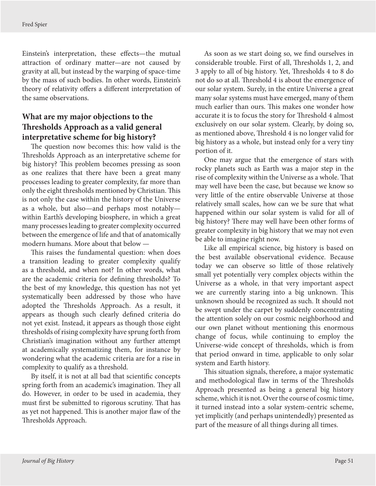Einstein's interpretation, these effects—the mutual attraction of ordinary matter—are not caused by gravity at all, but instead by the warping of space-time by the mass of such bodies. In other words, Einstein's theory of relativity offers a different interpretation of the same observations.

# **What are my major objections to the Thresholds Approach as a valid general interpretative scheme for big history?**

The question now becomes this: how valid is the Thresholds Approach as an interpretative scheme for big history? This problem becomes pressing as soon as one realizes that there have been a great many processes leading to greater complexity, far more than only the eight thresholds mentioned by Christian. This is not only the case within the history of the Universe as a whole, but also—and perhaps most notably within Earth's developing biosphere, in which a great many processes leading to greater complexity occurred between the emergence of life and that of anatomically modern humans. More about that below —

This raises the fundamental question: when does a transition leading to greater complexity qualify as a threshold, and when not? In other words, what are the academic criteria for defining thresholds? To the best of my knowledge, this question has not yet systematically been addressed by those who have adopted the Thresholds Approach. As a result, it appears as though such clearly defined criteria do not yet exist. Instead, it appears as though those eight thresholds of rising complexity have sprung forth from Christian's imagination without any further attempt at academically systematizing them, for instance by wondering what the academic criteria are for a rise in complexity to qualify as a threshold.

By itself, it is not at all bad that scientific concepts spring forth from an academic's imagination. They all do. However, in order to be used in academia, they must first be submitted to rigorous scrutiny. That has as yet not happened. This is another major flaw of the Thresholds Approach.

As soon as we start doing so, we find ourselves in considerable trouble. First of all, Thresholds 1, 2, and 3 apply to all of big history. Yet, Thresholds 4 to 8 do not do so at all. Threshold 4 is about the emergence of our solar system. Surely, in the entire Universe a great many solar systems must have emerged, many of them much earlier than ours. This makes one wonder how accurate it is to focus the story for Threshold 4 almost exclusively on our solar system. Clearly, by doing so, as mentioned above, Threshold 4 is no longer valid for big history as a whole, but instead only for a very tiny portion of it.

One may argue that the emergence of stars with rocky planets such as Earth was a major step in the rise of complexity within the Universe as a whole. That may well have been the case, but because we know so very little of the entire observable Universe at those relatively small scales, how can we be sure that what happened within our solar system is valid for all of big history? There may well have been other forms of greater complexity in big history that we may not even be able to imagine right now.

Like all empirical science, big history is based on the best available observational evidence. Because today we can observe so little of those relatively small yet potentially very complex objects within the Universe as a whole, in that very important aspect we are currently staring into a big unknown. This unknown should be recognized as such. It should not be swept under the carpet by suddenly concentrating the attention solely on our cosmic neighborhood and our own planet without mentioning this enormous change of focus, while continuing to employ the Universe-wide concept of thresholds, which is from that period onward in time, applicable to only solar system and Earth history.

This situation signals, therefore, a major systematic and methodological flaw in terms of the Thresholds Approach presented as being a general big history scheme, which it is not. Over the course of cosmic time, it turned instead into a solar system-centric scheme, yet implicitly (and perhaps unintendedly) presented as part of the measure of all things during all times.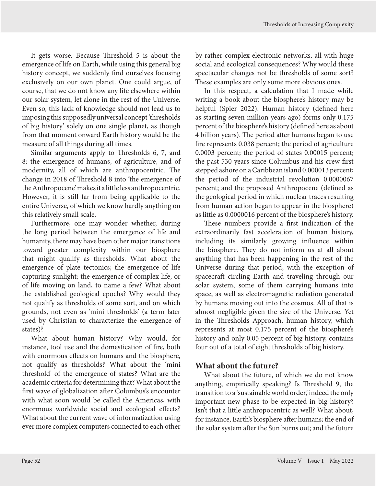It gets worse. Because Threshold 5 is about the emergence of life on Earth, while using this general big history concept, we suddenly find ourselves focusing exclusively on our own planet. One could argue, of course, that we do not know any life elsewhere within our solar system, let alone in the rest of the Universe. Even so, this lack of knowledge should not lead us to imposing this supposedly universal concept 'thresholds of big history' solely on one single planet, as though from that moment onward Earth history would be the measure of all things during all times.

Similar arguments apply to Thresholds 6, 7, and 8: the emergence of humans, of agriculture, and of modernity, all of which are anthropocentric. The change in 2018 of Threshold 8 into 'the emergence of the Anthropocene' makes it a little less anthropocentric. However, it is still far from being applicable to the entire Universe, of which we know hardly anything on this relatively small scale.

Furthermore, one may wonder whether, during the long period between the emergence of life and humanity, there may have been other major transitions toward greater complexity within our biosphere that might qualify as thresholds. What about the emergence of plate tectonics; the emergence of life capturing sunlight; the emergence of complex life; or of life moving on land, to name a few? What about the established geological epochs? Why would they not qualify as thresholds of some sort, and on which grounds, not even as 'mini thresholds' (a term later used by Christian to characterize the emergence of states)?

What about human history? Why would, for instance, tool use and the domestication of fire, both with enormous effects on humans and the biosphere, not qualify as thresholds? What about the 'mini threshold' of the emergence of states? What are the academic criteria for determining that? What about the first wave of globalization after Columbus's encounter with what soon would be called the Americas, with enormous worldwide social and ecological effects? What about the current wave of informatization using ever more complex computers connected to each other

by rather complex electronic networks, all with huge social and ecological consequences? Why would these spectacular changes not be thresholds of some sort? These examples are only some more obvious ones.

In this respect, a calculation that I made while writing a book about the biosphere's history may be helpful (Spier 2022). Human history (defined here as starting seven million years ago) forms only 0.175 percent of the biosphere's history (defined here as about 4 billion years). The period after humans began to use fire represents 0.038 percent; the period of agriculture 0.0003 percent; the period of states 0.00015 percent; the past 530 years since Columbus and his crew first stepped ashore on a Caribbean island 0.000013 percent; the period of the industrial revolution 0.0000067 percent; and the proposed Anthropocene (defined as the geological period in which nuclear traces resulting from human action began to appear in the biosphere) as little as 0.0000016 percent of the biosphere's history.

These numbers provide a first indication of the extraordinarily fast acceleration of human history, including its similarly growing influence within the biosphere. They do not inform us at all about anything that has been happening in the rest of the Universe during that period, with the exception of spacecraft circling Earth and traveling through our solar system, some of them carrying humans into space, as well as electromagnetic radiation generated by humans moving out into the cosmos. All of that is almost negligible given the size of the Universe. Yet in the Thresholds Approach, human history, which represents at most 0.175 percent of the biosphere's history and only 0.05 percent of big history, contains four out of a total of eight thresholds of big history.

# **What about the future?**

What about the future, of which we do not know anything, empirically speaking? Is Threshold 9, the transition to a 'sustainable world order,' indeed the only important new phase to be expected in big history? Isn't that a little anthropocentric as well? What about, for instance, Earth's biosphere after humans; the end of the solar system after the Sun burns out; and the future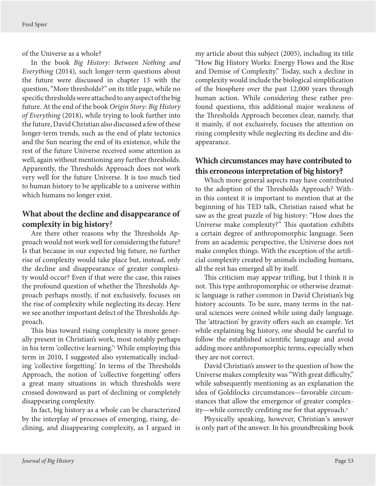<span id="page-5-0"></span>of the Universe as a whole?

In the book *Big History: Between Nothing and Everything* (2014), such longer-term questions about the future were discussed in chapter 13 with the question, "More thresholds?" on its title page, while no specific thresholds were attached to any aspect of the big future. At the end of the book *Origin Story: Big History of Everything* (2018), while trying to look further into the future, David Christian also discussed a few of these longer-term trends, such as the end of plate tectonics and the Sun nearing the end of its existence, while the rest of the future Universe received some attention as well, again without mentioning any further thresholds. Apparently, the Thresholds Approach does not work very well for the future Universe. It is too much tied to human history to be applicable to a universe within which humans no longer exist.

# **What about the decline and disappearance of complexity in big history**?

Are there other reasons why the Thresholds Approach would not work well for considering the future? Is that because in our expected big future, no further rise of complexity would take place but, instead, only the decline and disappearance of greater complexity would occur? Even if that were the case, this raises the profound question of whether the Thresholds Approach perhaps mostly, if not exclusively, focuses on the rise of complexity while neglecting its decay. Here we see another important defect of the Thresholds Approach.

This bias toward rising complexity is more generally present in Christian's work, most notably perhaps in his term 'collective learning.'[5](#page-8-0) While employing this term in 2010, I suggested also systematically including 'collective forgetting.' In terms of the Thresholds Approach, the notion of 'collective forgetting' offers a great many situations in which thresholds were crossed downward as part of declining or completely disappearing complexity.

In fact, big history as a whole can be characterized by the interplay of processes of emerging, rising, declining, and disappearing complexity, as I argued in my article about this subject (2005), including its title "How Big History Works: Energy Flows and the Rise and Demise of Complexity." Today, such a decline in complexity would include the biological simplification of the biosphere over the past 12,000 years through human action. While considering these rather profound questions, this additional major weakness of the Thresholds Approach becomes clear, namely, that it mainly, if not exclusively, focuses the attention on rising complexity while neglecting its decline and disappearance.

#### **Which circumstances may have contributed to this erroneous interpretation of big history?**

Which more general aspects may have contributed to the adoption of the Thresholds Approach? Within this context it is important to mention that at the beginning of his TED talk, Christian raised what he saw as the great puzzle of big history: "How does the Universe make complexity?" This quotation exhibits a certain degree of anthropomorphic language. Seen from an academic perspective, the Universe does not make complex things. With the exception of the artificial complexity created by animals including humans, all the rest has emerged all by itself.

This criticism may appear trifling, but I think it is not. This type anthropomorphic or otherwise dramatic language is rather common in David Christian's big history accounts. To be sure, many terms in the natural sciences were coined while using daily language. The 'attraction' by gravity offers such an example. Yet while explaining big history, one should be careful to follow the established scientific language and avoid adding more anthropomorphic terms, especially when they are not correct.

David Christian's answer to the question of how the Universe makes complexity was "With great difficulty," while subsequently mentioning as an explanation the idea of Goldilocks circumstances—favorable circumstances that allow the emergence of greater complex-ity—while correctly crediting me for that approach.<sup>[6](#page-9-0)</sup>

Physically speaking, however, Christian's answer is only part of the answer. In his groundbreaking book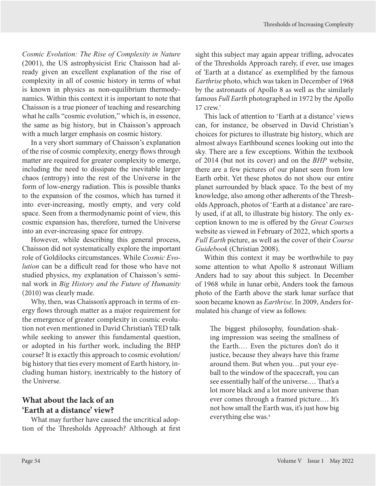<span id="page-6-0"></span>*Cosmic Evolution: The Rise of Complexity in Nature* (2001), the US astrophysicist Eric Chaisson had already given an excellent explanation of the rise of complexity in all of cosmic history in terms of what is known in physics as non-equilibrium thermodynamics. Within this context it is important to note that Chaisson is a true pioneer of teaching and researching what he calls "cosmic evolution," which is, in essence, the same as big history, but in Chaisson's approach with a much larger emphasis on cosmic history.

In a very short summary of Chaisson's explanation of the rise of cosmic complexity, energy flows through matter are required for greater complexity to emerge, including the need to dissipate the inevitable larger chaos (entropy) into the rest of the Universe in the form of low-energy radiation. This is possible thanks to the expansion of the cosmos, which has turned it into ever-increasing, mostly empty, and very cold space. Seen from a thermodynamic point of view, this cosmic expansion has, therefore, turned the Universe into an ever-increasing space for entropy.

However, while describing this general process, Chaisson did not systematically explore the important role of Goldilocks circumstances. While *Cosmic Evolution* can be a difficult read for those who have not studied physics, my explanation of Chaisson's seminal work in *Big History and the Future of Humanity* (2010) was clearly made.

Why, then, was Chaisson's approach in terms of energy flows through matter as a major requirement for the emergence of greater complexity in cosmic evolution not even mentioned in David Christian's TED talk while seeking to answer this fundamental question, or adopted in his further work, including the BHP course? It is exactly this approach to cosmic evolution/ big history that ties every moment of Earth history, including human history, inextricably to the history of the Universe.

### **What about the lack of an 'Earth at a distance' view?**

What may further have caused the uncritical adoption of the Thresholds Approach? Although at first sight this subject may again appear trifling, advocates of the Thresholds Approach rarely, if ever, use images of 'Earth at a distance' as exemplified by the famous *Earthrise* photo, which was taken in December of 1968 by the astronauts of Apollo 8 as well as the similarly famous *Full Earth* photographed in 1972 by the Apollo 17 crew.[7](#page-9-0)

This lack of attention to 'Earth at a distance' views can, for instance, be observed in David Christian's choices for pictures to illustrate big history, which are almost always Earthbound scenes looking out into the sky. There are a few exceptions. Within the textbook of 2014 (but not its cover) and on the *BHP* website, there are a few pictures of our planet seen from low Earth orbit. Yet these photos do not show our entire planet surrounded by black space. To the best of my knowledge, also among other adherents of the Thresholds Approach, photos of 'Earth at a distance' are rarely used, if at all, to illustrate big history. The only exception known to me is offered by the *Great Courses* website as viewed in February of 2022, which sports a *Full Earth* picture, as well as the cover of their *Course Guidebook* (Christian 2008).

Within this context it may be worthwhile to pay some attention to what Apollo 8 astronaut William Anders had to say about this subject. In December of 1968 while in lunar orbit, Anders took the famous photo of the Earth above the stark lunar surface that soon became known as *Earthrise*. In 2009, Anders formulated his change of view as follows:

The biggest philosophy, foundation-shaking impression was seeing the smallness of the Earth.… Even the pictures don't do it justice, because they always have this frame around them. But when you…put your eyeball to the window of the spacecraft, you can see essentially half of the universe.… That's a lot more black and a lot more universe than ever comes through a framed picture.… It's not how small the Earth was, it's just how big everything else was.<sup>[8](#page-9-0)</sup>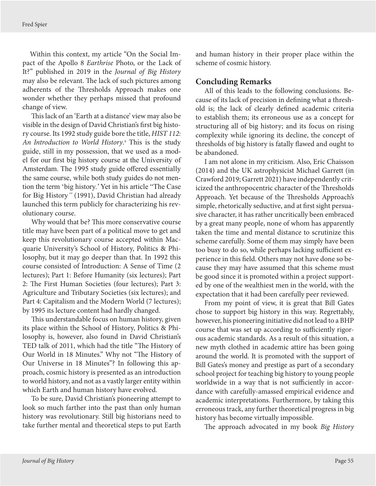<span id="page-7-0"></span>Within this context, my article "On the Social Impact of the Apollo 8 *Earthrise* Photo, or the Lack of It?" published in 2019 in the *Journal of Big History* may also be relevant. The lack of such pictures among adherents of the Thresholds Approach makes one wonder whether they perhaps missed that profound change of view.

This lack of an 'Earth at a distance' view may also be visible in the design of David Christian's first big history course. Its 1992 study guide bore the title, *HIST 112: An Introduction to World History*. [9](#page-9-0) This is the study guide, still in my possession, that we used as a model for our first big history course at the University of Amsterdam. The 1995 study guide offered essentially the same course, while both study guides do not mention the term 'big history.' Yet in his article "The Case for Big History*"* (1991), David Christian had already launched this term publicly for characterizing his revolutionary course.

Why would that be? This more conservative course title may have been part of a political move to get and keep this revolutionary course accepted within Macquarie University's School of History, Politics & Philosophy, but it may go deeper than that. In 1992 this course consisted of Introduction: A Sense of Time (2 lectures); Part 1: Before Humanity (six lectures); Part 2: The First Human Societies (four lectures); Part 3: Agriculture and Tributary Societies (six lectures); and Part 4: Capitalism and the Modern World (7 lectures); by 1995 its lecture content had hardly changed.

This understandable focus on human history, given its place within the School of History, Politics & Philosophy is, however, also found in David Christian's TED talk of 2011, which had the title "The History of Our World in 18 Minutes." Why not "The History of Our Universe in 18 Minutes"? In following this approach, cosmic history is presented as an introduction to world history, and not as a vastly larger entity within which Earth and human history have evolved.

To be sure, David Christian's pioneering attempt to look so much farther into the past than only human history was revolutionary. Still big historians need to take further mental and theoretical steps to put Earth

and human history in their proper place within the scheme of cosmic history.

#### **Concluding Remarks**

All of this leads to the following conclusions. Because of its lack of precision in defining what a threshold is; the lack of clearly defined academic criteria to establish them; its erroneous use as a concept for structuring all of big history; and its focus on rising complexity while ignoring its decline, the concept of thresholds of big history is fatally flawed and ought to be abandoned.

I am not alone in my criticism. Also, Eric Chaisson (2014) and the UK astrophysicist Michael Garrett (in Crawford 2019; Garrett 2021) have independently criticized the anthropocentric character of the Thresholds Approach. Yet because of the Thresholds Approach's simple, rhetorically seductive, and at first sight persuasive character, it has rather uncritically been embraced by a great many people, none of whom has apparently taken the time and mental distance to scrutinize this scheme carefully. Some of them may simply have been too busy to do so, while perhaps lacking sufficient experience in this field. Others may not have done so because they may have assumed that this scheme must be good since it is promoted within a project supported by one of the wealthiest men in the world, with the expectation that it had been carefully peer reviewed.

From my point of view, it is great that Bill Gates chose to support big history in this way. Regrettably, however, his pioneering initiative did not lead to a BHP course that was set up according to sufficiently rigorous academic standards. As a result of this situation, a new myth clothed in academic attire has been going around the world. It is promoted with the support of Bill Gates's money and prestige as part of a secondary school project for teaching big history to young people worldwide in a way that is not sufficiently in accordance with carefully-amassed empirical evidence and academic interpretations. Furthermore, by taking this erroneous track, any further theoretical progress in big history has become virtually impossible.

The approach advocated in my book *Big History*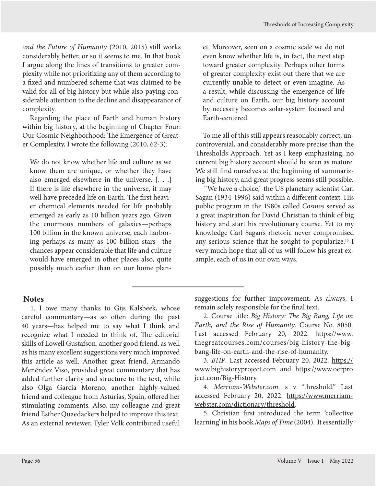<span id="page-8-0"></span>*and the Future of Humanity* (2010, 2015) still works considerably better, or so it seems to me. In that book I argue along the lines of transitions to greater complexity while not prioritizing any of them according to a fixed and numbered scheme that was claimed to be valid for all of big history but while also paying considerable attention to the decline and disappearance of complexity.

Regarding the place of Earth and human history within big history, at the beginning of Chapter Four: Our Cosmic Neighborhood: The Emergence of Greater Complexity, I wrote the following (2010, 62-3):

We do not know whether life and culture as we know them are unique, or whether they have also emerged elsewhere in the universe. [. . .] If there is life elsewhere in the universe, it may well have preceded life on Earth. The first heavier chemical elements needed for life probably emerged as early as 10 billion years ago. Given the enormous numbers of galaxies—perhaps 100 billion in the known universe, each harboring perhaps as many as 100 billion stars—the chances appear considerable that life and culture would have emerged in other places also, quite possibly much earlier than on our home plan-

#### **Notes**

[1](#page-0-0). I owe many thanks to Gijs Kalsbeek, whose careful commentary—as so often during the past 40 years—has helped me to say what I think and recognize what I needed to think of. The editorial skills of Lowell Gustafson, another good friend, as well as his many excellent suggestions very much improved this article as well. Another great friend, Armando Menéndez Viso, provided great commentary that has added further clarity and structure to the text, while also Olga García Moreno, another highly-valued friend and colleague from Asturias, Spain, offered her stimulating comments. Also, my colleague and great friend Esther Quaedackers helped to improve this text. As an external reviewer, Tyler Volk contributed useful et. Moreover, seen on a cosmic scale we do not even know whether life is, in fact, the next step toward greater complexity. Perhaps other forms of greater complexity exist out there that we are currently unable to detect or even imagine. As a result, while discussing the emergence of life and culture on Earth, our big history account by necessity becomes solar-system focused and Earth-centered.

To me all of this still appears reasonably correct, uncontroversial, and considerably more precise than the Thresholds Approach. Yet as I keep emphasizing, no current big history account should be seen as mature. We still find ourselves at the beginning of summarizing big history, and great progress seems still possible.

"We have a choice," the US planetary scientist Carl Sagan (1934-1996) said within a different context. His public program in the 1980s called *Cosmos* served as a great inspiration for David Christian to think of big history and start his revolutionary course. Yet to my knowledge Carl Sagan's rhetoric never compromised any serious science that he sought to popularize.[10](#page-9-0) I very much hope that all of us will follow his great example, each of us in our own ways.

suggestions for further improvement. As always, I remain solely responsible for the final text.

[2](#page-1-0). Course title: *Big History: The Big Bang, Life on Earth, and the Rise of Humanity*. Course No. 8050. Last accessed February 20, 2022. https://www. thegreatcourses.com/courses/big-history-the-bigbang-life-on-earth-and-the-rise-of-humanity.

[3](#page-2-0). *BHP*. Last accessed February 20, 2022. https:// www.bighistoryproject.com and https://www.oerpro ject.com/Big-History.

[4](#page-2-0). *Merriam-Webster.com*. s v "threshold." Last accessed February 20, 2022. [https://www.merriam](https://www.merriam-webster.com/dictionary/threshold)[webster.com/dictionary/threshold.](https://www.merriam-webster.com/dictionary/threshold)

[5](#page-5-0). Christian first introduced the term 'collective learning' in his book *Maps of Time* (2004). It essentially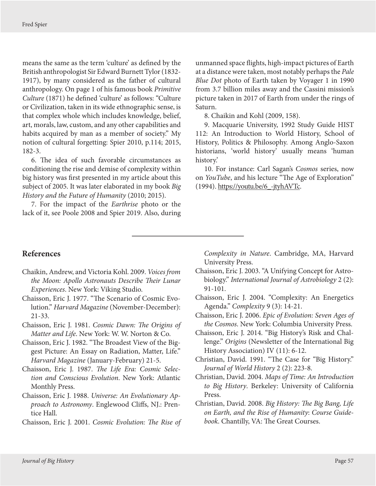<span id="page-9-0"></span>means the same as the term 'culture' as defined by the British anthropologist Sir Edward Burnett Tylor (1832- 1917), by many considered as the father of cultural anthropology. On page 1 of his famous book *Primitive Culture* (1871) he defined 'culture' as follows: "Culture or Civilization, taken in its wide ethnographic sense, is that complex whole which includes knowledge, belief, art, morals, law, custom, and any other capabilities and habits acquired by man as a member of society." My notion of cultural forgetting: Spier 2010, p.114; 2015, 182-3.

[6.](#page-5-0) The idea of such favorable circumstances as conditioning the rise and demise of complexity within big history was first presented in my article about this subject of 2005. It was later elaborated in my book *Big History and the Future of Humanity* (2010; 2015).

[7.](#page-6-0) For the impact of the *Earthrise* photo or the lack of it, see Poole 2008 and Spier 2019. Also, during

unmanned space flights, high-impact pictures of Earth at a distance were taken, most notably perhaps the *Pale Blue Dot* photo of Earth taken by Voyager 1 in 1990 from 3.7 billion miles away and the Cassini mission's picture taken in 2017 of Earth from under the rings of Saturn.

[8.](#page-6-0) Chaikin and Kohl (2009, 158).

[9.](#page-7-0) Macquarie University, 1992 Study Guide HIST 112: An Introduction to World History, School of History, Politics & Philosophy. Among Anglo-Saxon historians, 'world history' usually means 'human history.'

[10](#page-8-0). For instance: Carl Sagan's *Cosmos* series, now on *YouTube*, and his lecture "The Age of Exploration" (1994). https://youtu.be/6\_-jtyhAVTc.

#### **References**

- Chaikin, Andrew, and Victoria Kohl. 2009. *Voices from the Moon: Apollo Astronauts Describe Their Lunar Experiences*. New York: Viking Studio.
- Chaisson, Eric J. 1977. "The Scenario of Cosmic Evolution." *Harvard Magazine* (November-December): 21-33.
- Chaisson, Eric J. 1981. *Cosmic Dawn: The Origins of Matter and Life*. New York: W. W. Norton & Co.
- Chaisson, Eric J. 1982. "The Broadest View of the Biggest Picture: An Essay on Radiation, Matter, Life." *Harvard Magazine* (January-February) 21-5.
- Chaisson, Eric J. 1987. *The Life Era: Cosmic Selection and Conscious Evolution*. New York: Atlantic Monthly Press.
- Chaisson, Eric J. 1988. *Universe: An Evolutionary Approach to Astronomy*. Englewood Cliffs, NJ.: Prentice Hall.
- Chaisson, Eric J. 2001. *Cosmic Evolution: The Rise of*

*Complexity in Nature*. Cambridge, MA, Harvard University Press.

- Chaisson, Eric J. 2003. "A Unifying Concept for Astrobiology." *International Journal of Astrobiology* 2 (2): 91-101.
- Chaisson, Eric J. 2004. "Complexity: An Energetics Agenda." *Complexity* 9 (3): 14-21.
- Chaisson, Eric J. 2006. *Epic of Evolution: Seven Ages of the Cosmos*. New York: Columbia University Press.
- Chaisson, Eric J. 2014. "Big History's Risk and Challenge." *Origins* (Newsletter of the International Big History Association) IV (11): 6-12.
- Christian, David. 1991. "The Case for "Big History." *Journal of World History* 2 (2): 223-8.
- Christian, David. 2004. *Maps of Time: An Introduction to Big History*. Berkeley: University of California Press.
- Christian, David. 2008. *Big History: The Big Bang, Life on Earth, and the Rise of Humanity*: *Course Guidebook*. Chantilly, VA: The Great Courses.